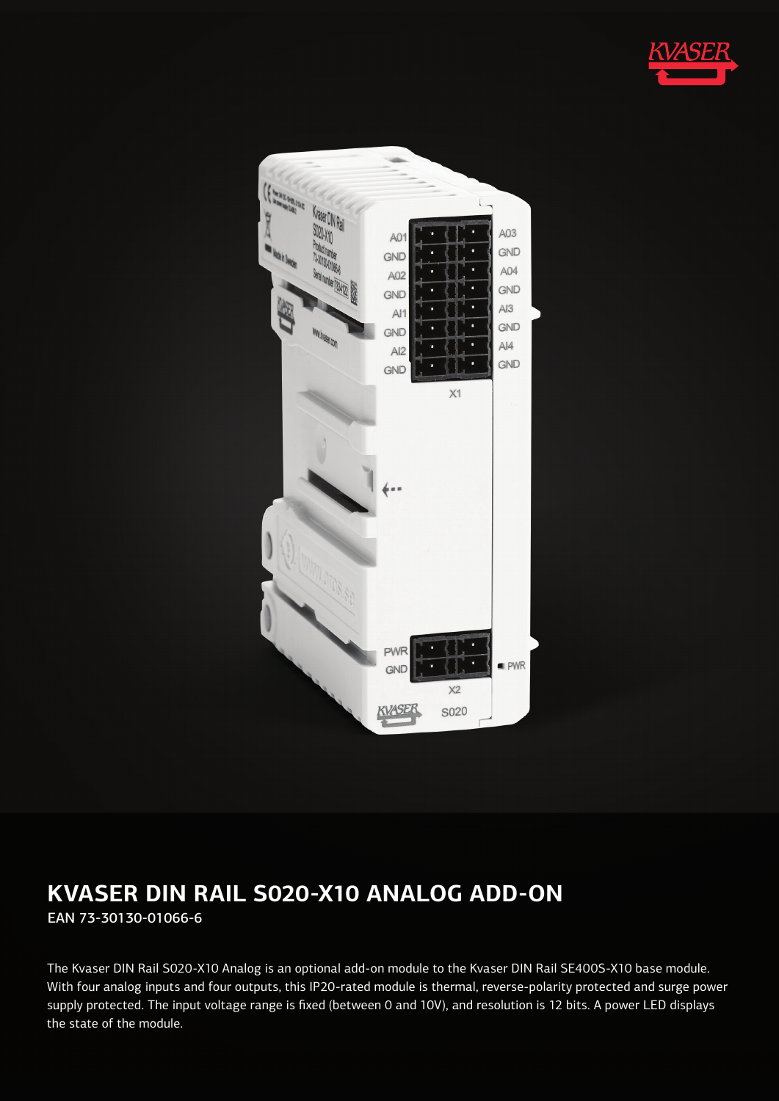



# **KVASER DIN RAIL S020-X10 ANALOG ADD-ON** EAN 73-30130-01066-6

The Kvaser DIN Rail S020-X10 Analog is an optional add-on module to the Kvaser DIN Rail SE400S-X10 base module. With four analog inputs and four outputs, this IP20-rated module is thermal, reverse-polarity protected and surge power supply protected. The input voltage range is fixed (between 0 and 10V), and resolution is 12 bits. A power LED displays the state of the module.